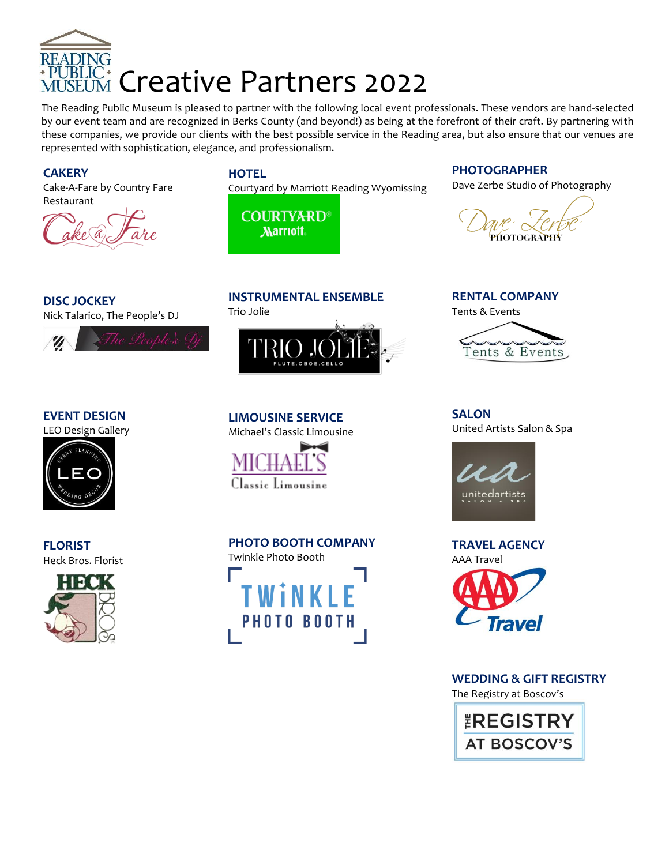

The Reading Public Museum is pleased to partner with the following local event professionals. These vendors are hand-selected by our event team and are recognized in Berks County (and beyond!) as being at the forefront of their craft. By partnering with these companies, we provide our clients with the best possible service in the Reading area, but also ensure that our venues are represented with sophistication, elegance, and professionalism.

### **CAKERY**

[Cake-A-Fare by Country Fare](http://www.cakeafare.com/) [Restaurant](http://www.cakeafare.com/)



### **HOTEL**

[Courtyard by Marriott](http://www.marriott.com/hotels/travel/rdgwy-courtyard-reading-wyomissing/) Reading Wyomissing

**COURTYARD Marriott** 

### **PHOTOGRAPHER**

[Dave Zerbe Studio of Photography](http://davezerbestudio.com/)

**DISC JOCKEY** [Nick Talarico, The People's DJ](http://www.thepeoplesdj.org/)



### **EVENT DESIGN**

LEO Design Gallery



**FLORIST** [Heck Bros. Florist](http://www.heckbros.com/)



# **INSTRUMENTAL ENSEMBLE**

[Trio Jolie](http://www.triojolie.com/)



**LIMOUSINE SERVICE**  [Michael's Classic Limousine](http://www.michaelsclassiclimo.com/)



### **PHOTO BOOTH COMPANY**



**RENTAL COMPANY** [Tents & Events](http://www.tentsandevents.net/)



**SALON** [United Artists Salon & Spa](http://www.unitedartistssalon.com/)



![](_page_0_Picture_29.jpeg)

**WEDDING & GIFT REGISTRY** [The Registry at Boscov's](https://www.boscovs.com/)

![](_page_0_Picture_31.jpeg)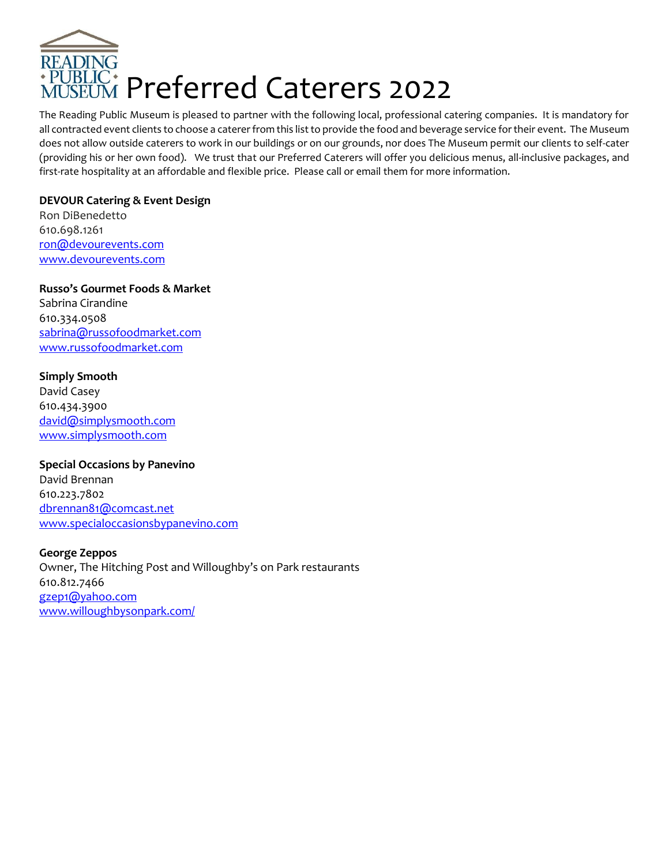![](_page_1_Picture_0.jpeg)

The Reading Public Museum is pleased to partner with the following local, professional catering companies. It is mandatory for all contracted event clients to choose a caterer from this list to provide the food and beverage service for their event. The Museum does not allow outside caterers to work in our buildings or on our grounds, nor does The Museum permit our clients to self-cater (providing his or her own food). We trust that our Preferred Caterers will offer you delicious menus, all-inclusive packages, and first-rate hospitality at an affordable and flexible price. Please call or email them for more information.

### **DEVOUR Catering & Event Design**

Ron DiBenedetto 610.698.1261 [ron@devourevents.com](mailto:ron@devourevents.com) [www.devourevents.com](http://www.devourevents.com/)

## **Russo's Gourmet Foods & Market** Sabrina Cirandine

610.334.0508 [sabrina@russofoodmarket.com](mailto:sabrina@russofoodmarket.com) [www.russofoodmarket.com](http://www.russofoodmarket.com/)

### **Simply Smooth**

David Casey 610.434.3900 [david@simplysmooth.com](mailto:david@simplysmooth.com) [www.simplysmooth.com](http://www.simplysmooth.com/)

### **Special Occasions by Panevino**

David Brennan 610.223.7802 [dbrennan81@comcast.net](mailto:dbrennan81@comcast.net) [www.specialoccasionsbypanevino.com](http://www.specialoccasionsbypanevino.com/)

### **George Zeppos**

Owner, The Hitching Post and Willoughby's on Park restaurants 610.812.7466 [gzep1@yahoo.com](mailto:gzep1@yahoo.com) [www.willoughbysonpark.com/](http://www.willoughbysonpark.com/)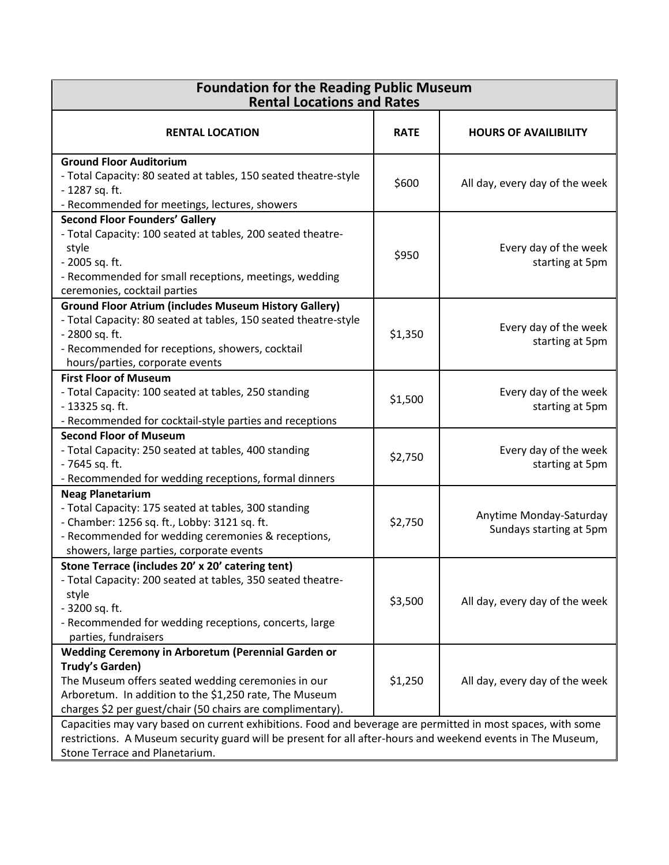| <b>Foundation for the Reading Public Museum</b><br><b>Rental Locations and Rates</b>                                                                                                                                                                         |             |                                                    |  |
|--------------------------------------------------------------------------------------------------------------------------------------------------------------------------------------------------------------------------------------------------------------|-------------|----------------------------------------------------|--|
| <b>RENTAL LOCATION</b>                                                                                                                                                                                                                                       | <b>RATE</b> | <b>HOURS OF AVAILIBILITY</b>                       |  |
| <b>Ground Floor Auditorium</b><br>- Total Capacity: 80 seated at tables, 150 seated theatre-style<br>- 1287 sq. ft.<br>- Recommended for meetings, lectures, showers                                                                                         | \$600       | All day, every day of the week                     |  |
| <b>Second Floor Founders' Gallery</b><br>- Total Capacity: 100 seated at tables, 200 seated theatre-<br>style<br>- 2005 sq. ft.<br>- Recommended for small receptions, meetings, wedding<br>ceremonies, cocktail parties                                     | \$950       | Every day of the week<br>starting at 5pm           |  |
| <b>Ground Floor Atrium (includes Museum History Gallery)</b><br>- Total Capacity: 80 seated at tables, 150 seated theatre-style<br>- 2800 sq. ft.<br>- Recommended for receptions, showers, cocktail<br>hours/parties, corporate events                      | \$1,350     | Every day of the week<br>starting at 5pm           |  |
| <b>First Floor of Museum</b><br>- Total Capacity: 100 seated at tables, 250 standing<br>- 13325 sq. ft.<br>- Recommended for cocktail-style parties and receptions                                                                                           | \$1,500     | Every day of the week<br>starting at 5pm           |  |
| <b>Second Floor of Museum</b><br>- Total Capacity: 250 seated at tables, 400 standing<br>- 7645 sq. ft.<br>- Recommended for wedding receptions, formal dinners                                                                                              | \$2,750     | Every day of the week<br>starting at 5pm           |  |
| <b>Neag Planetarium</b><br>- Total Capacity: 175 seated at tables, 300 standing<br>- Chamber: 1256 sq. ft., Lobby: 3121 sq. ft.<br>- Recommended for wedding ceremonies & receptions,<br>showers, large parties, corporate events                            | \$2,750     | Anytime Monday-Saturday<br>Sundays starting at 5pm |  |
| Stone Terrace (includes 20' x 20' catering tent)<br>- Total Capacity: 200 seated at tables, 350 seated theatre-<br>style<br>- 3200 sq. ft.<br>- Recommended for wedding receptions, concerts, large<br>parties, fundraisers                                  | \$3,500     | All day, every day of the week                     |  |
| Wedding Ceremony in Arboretum (Perennial Garden or<br>Trudy's Garden)<br>The Museum offers seated wedding ceremonies in our<br>Arboretum. In addition to the \$1,250 rate, The Museum<br>charges \$2 per guest/chair (50 chairs are complimentary).          | \$1,250     | All day, every day of the week                     |  |
| Capacities may vary based on current exhibitions. Food and beverage are permitted in most spaces, with some<br>restrictions. A Museum security guard will be present for all after-hours and weekend events in The Museum,<br>Stone Terrace and Planetarium. |             |                                                    |  |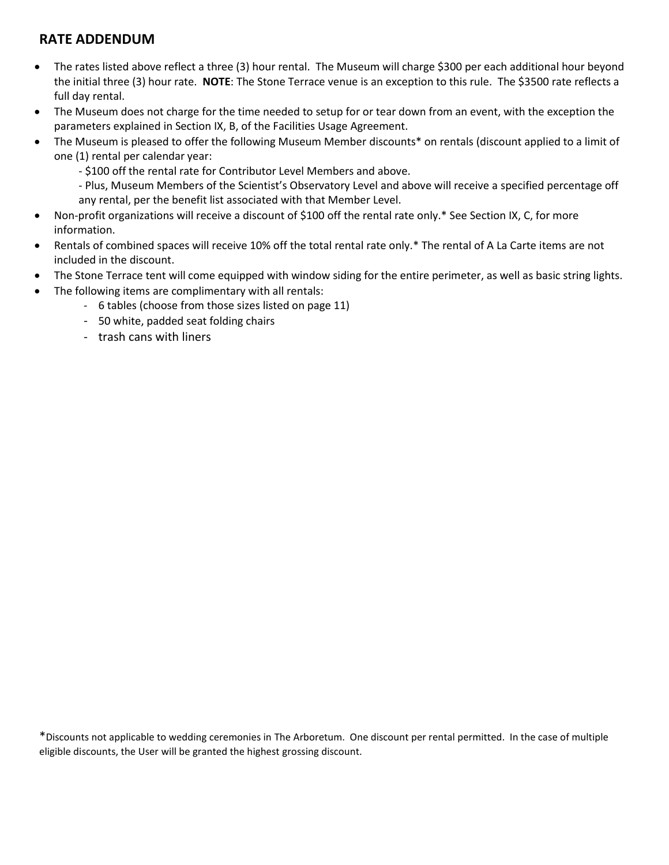## **RATE ADDENDUM**

- The rates listed above reflect a three (3) hour rental. The Museum will charge \$300 per each additional hour beyond the initial three (3) hour rate. **NOTE**: The Stone Terrace venue is an exception to this rule. The \$3500 rate reflects a full day rental.
- The Museum does not charge for the time needed to setup for or tear down from an event, with the exception the parameters explained in Section IX, B, of the Facilities Usage Agreement.
- The Museum is pleased to offer the following Museum Member discounts\* on rentals (discount applied to a limit of one (1) rental per calendar year:
	- \$100 off the rental rate for Contributor Level Members and above.
	- Plus, Museum Members of the Scientist's Observatory Level and above will receive a specified percentage off any rental, per the benefit list associated with that Member Level.
- Non-profit organizations will receive a discount of \$100 off the rental rate only.\* See Section IX, C, for more information.
- Rentals of combined spaces will receive 10% off the total rental rate only.\* The rental of A La Carte items are not included in the discount.
- The Stone Terrace tent will come equipped with window siding for the entire perimeter, as well as basic string lights.
- The following items are complimentary with all rentals:
	- 6 tables (choose from those sizes listed on page 11)
	- 50 white, padded seat folding chairs
	- trash cans with liners

\*Discounts not applicable to wedding ceremonies in The Arboretum. One discount per rental permitted. In the case of multiple eligible discounts, the User will be granted the highest grossing discount.